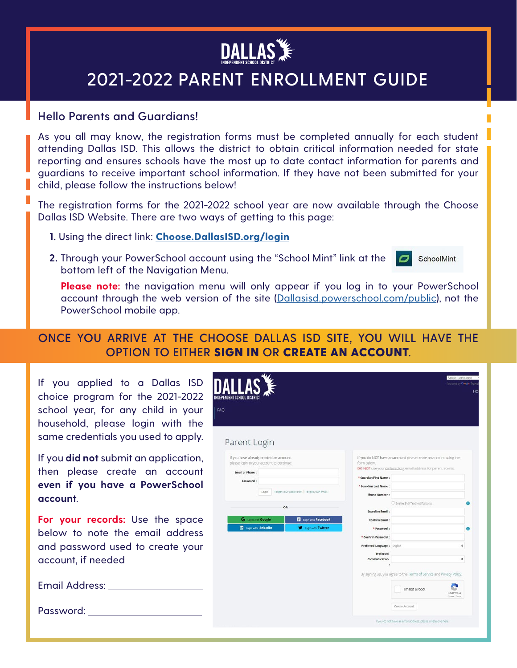

## **2021-2022 PARENT ENROLLMENT GUIDE**

## **Hello Parents and Guardians!**

As you all may know, the registration forms must be completed annually for each student attending Dallas ISD. This allows the district to obtain critical information needed for state reporting and ensures schools have the most up to date contact information for parents and guardians to receive important school information. If they have not been submitted for your child, please follow the instructions below!

The registration forms for the 2021-2022 school year are now available through the Choose Dallas ISD Website. There are two ways of getting to this page:

- **1.** Using the direct link: **[Choose.DallasISD.org/login](http://Choose.DallasISD.org/login)**
- **2.** Through your PowerSchool account using the "School Mint" link at the bottom left of the Navigation Menu.

SchoolMint

**Please note:** the navigation menu will only appear if you log in to your PowerSchool account through the web version of the site [\(Dallasisd.powerschool.com/public\)](http://Dallasisd.powerschool.com/public), not the PowerSchool mobile app.

## **ONCE YOU ARRIVE AT THE CHOOSE DALLAS ISD SITE, YOU WILL HAVE THE OPTION TO EITHER** SIGN IN **OR** CREATE AN ACCOUNT**.**

| If you applied to a Dallas ISD<br>choice program for the 2021-2022<br>school year, for any child in your<br>household, please login with the<br>same credentials you used to apply. | FAQ<br>Parent Login                                                                                                                                                                  |                                                                                                                                             | Select Language<br>Powered by Google Time<br>110                                                                                                                                                                 |
|-------------------------------------------------------------------------------------------------------------------------------------------------------------------------------------|--------------------------------------------------------------------------------------------------------------------------------------------------------------------------------------|---------------------------------------------------------------------------------------------------------------------------------------------|------------------------------------------------------------------------------------------------------------------------------------------------------------------------------------------------------------------|
| If you <b>did not</b> submit an application,<br>then please create an account<br>even if you have a PowerSchool<br>account.                                                         | If you have already created an account<br>please login to your account to continue:<br>Email or Phone:<br>Password:<br>Login Forgot your password?   Forgot your email?<br><b>OR</b> | form below.<br>* Guardian First Name:<br>* Guardian Last Name:<br><b>Phone Number</b>                                                       | If you do NOT have an account please create an account using the<br>DO NOT use your <u>dailasisd org</u> email address for parent access.<br>C Enable SVS Text Notifications                                     |
| <b>For your records:</b> Use the space<br>below to note the email address<br>and password used to create your<br>account, if needed                                                 | G Legislanth Google<br><b>Ed Login with Facebook</b><br><b>The Loan with LinkedIn</b><br>Login with Twitter                                                                          | <b>Guardian Email</b><br>Confirm Email:<br>* Password:<br>* Confirm Password:<br>Preferred Language : English<br>Preferred<br>Communication | ٠                                                                                                                                                                                                                |
| Email Address:<br>Password:                                                                                                                                                         |                                                                                                                                                                                      |                                                                                                                                             | By signing up, you agree to the Terms of Service and Privacy Policy.<br>I'm not a robot<br><b>HICAPTONA</b><br>Privacy - Terms<br>Create Account<br>If you do not have an email address, please create one here. |